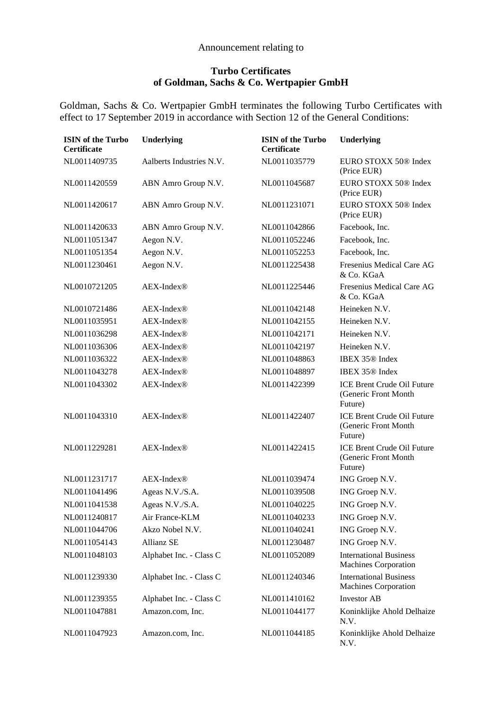## Announcement relating to

## **Turbo Certificates of Goldman, Sachs & Co. Wertpapier GmbH**

Goldman, Sachs & Co. Wertpapier GmbH terminates the following Turbo Certificates with effect to 17 September 2019 in accordance with Section 12 of the General Conditions:

| <b>ISIN</b> of the Turbo<br><b>Certificate</b> | Underlying               | <b>ISIN</b> of the Turbo<br>Certificate | <b>Underlying</b>                                                    |
|------------------------------------------------|--------------------------|-----------------------------------------|----------------------------------------------------------------------|
| NL0011409735                                   | Aalberts Industries N.V. | NL0011035779                            | EURO STOXX 50® Index<br>(Price EUR)                                  |
| NL0011420559                                   | ABN Amro Group N.V.      | NL0011045687                            | EURO STOXX 50® Index<br>(Price EUR)                                  |
| NL0011420617                                   | ABN Amro Group N.V.      | NL0011231071                            | EURO STOXX 50 <sup>®</sup> Index<br>(Price EUR)                      |
| NL0011420633                                   | ABN Amro Group N.V.      | NL0011042866                            | Facebook, Inc.                                                       |
| NL0011051347                                   | Aegon N.V.               | NL0011052246                            | Facebook, Inc.                                                       |
| NL0011051354                                   | Aegon N.V.               | NL0011052253                            | Facebook, Inc.                                                       |
| NL0011230461                                   | Aegon N.V.               | NL0011225438                            | Fresenius Medical Care AG<br>& Co. KGaA                              |
| NL0010721205                                   | AEX-Index®               | NL0011225446                            | Fresenius Medical Care AG<br>& Co. KGaA                              |
| NL0010721486                                   | $AEX-Index@$             | NL0011042148                            | Heineken N.V.                                                        |
| NL0011035951                                   | AEX-Index®               | NL0011042155                            | Heineken N.V.                                                        |
| NL0011036298                                   | AEX-Index <sup>®</sup>   | NL0011042171                            | Heineken N.V.                                                        |
| NL0011036306                                   | AEX-Index®               | NL0011042197                            | Heineken N.V.                                                        |
| NL0011036322                                   | AEX-Index®               | NL0011048863                            | IBEX 35 <sup>®</sup> Index                                           |
| NL0011043278                                   | AEX-Index®               | NL0011048897                            | IBEX 35 <sup>®</sup> Index                                           |
| NL0011043302                                   | AEX-Index®               | NL0011422399                            | <b>ICE Brent Crude Oil Future</b><br>(Generic Front Month<br>Future) |
| NL0011043310                                   | AEX-Index®               | NL0011422407                            | <b>ICE Brent Crude Oil Future</b><br>(Generic Front Month<br>Future) |
| NL0011229281                                   | AEX-Index®               | NL0011422415                            | <b>ICE Brent Crude Oil Future</b><br>(Generic Front Month<br>Future) |
| NL0011231717                                   | $AEX-Index$              | NL0011039474                            | ING Groep N.V.                                                       |
| NL0011041496                                   | Ageas N.V./S.A.          | NL0011039508                            | ING Groep N.V.                                                       |
| NL0011041538                                   | Ageas N.V./S.A.          | NL0011040225                            | ING Groep N.V.                                                       |
| NL0011240817                                   | Air France-KLM           | NL0011040233                            | ING Groep N.V.                                                       |
| NL0011044706                                   | Akzo Nobel N.V.          | NL0011040241                            | ING Groep N.V.                                                       |
| NL0011054143                                   | <b>Allianz SE</b>        | NL0011230487                            | ING Groep N.V.                                                       |
| NL0011048103                                   | Alphabet Inc. - Class C  | NL0011052089                            | <b>International Business</b><br><b>Machines Corporation</b>         |
| NL0011239330                                   | Alphabet Inc. - Class C  | NL0011240346                            | <b>International Business</b><br><b>Machines Corporation</b>         |
| NL0011239355                                   | Alphabet Inc. - Class C  | NL0011410162                            | <b>Investor AB</b>                                                   |
| NL0011047881                                   | Amazon.com, Inc.         | NL0011044177                            | Koninklijke Ahold Delhaize<br>N.V.                                   |
| NL0011047923                                   | Amazon.com, Inc.         | NL0011044185                            | Koninklijke Ahold Delhaize<br>N.V.                                   |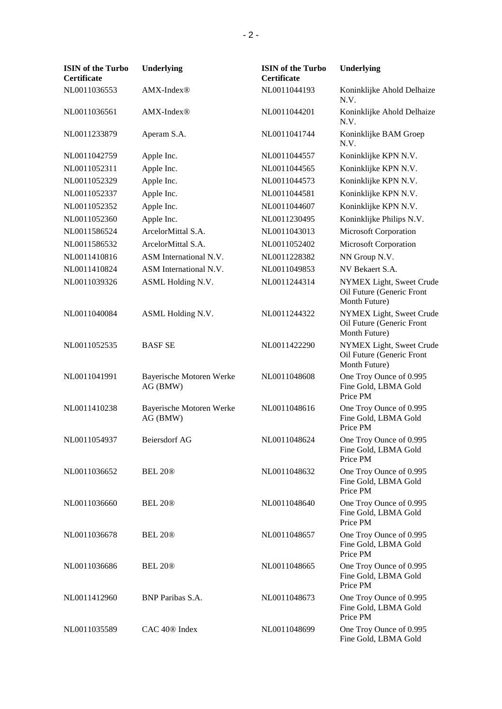| <b>ISIN</b> of the Turbo<br><b>Certificate</b> | Underlying                           | <b>ISIN</b> of the Turbo<br>Certificate | Underlying                                                             |
|------------------------------------------------|--------------------------------------|-----------------------------------------|------------------------------------------------------------------------|
| NL0011036553                                   | AMX-Index®                           | NL0011044193                            | Koninklijke Ahold Delhaize<br>N.V.                                     |
| NL0011036561                                   | AMX-Index®                           | NL0011044201                            | Koninklijke Ahold Delhaize<br>N.V.                                     |
| NL0011233879                                   | Aperam S.A.                          | NL0011041744                            | Koninklijke BAM Groep<br>N.V.                                          |
| NL0011042759                                   | Apple Inc.                           | NL0011044557                            | Koninklijke KPN N.V.                                                   |
| NL0011052311                                   | Apple Inc.                           | NL0011044565                            | Koninklijke KPN N.V.                                                   |
| NL0011052329                                   | Apple Inc.                           | NL0011044573                            | Koninklijke KPN N.V.                                                   |
| NL0011052337                                   | Apple Inc.                           | NL0011044581                            | Koninklijke KPN N.V.                                                   |
| NL0011052352                                   | Apple Inc.                           | NL0011044607                            | Koninklijke KPN N.V.                                                   |
| NL0011052360                                   | Apple Inc.                           | NL0011230495                            | Koninklijke Philips N.V.                                               |
| NL0011586524                                   | ArcelorMittal S.A.                   | NL0011043013                            | <b>Microsoft Corporation</b>                                           |
| NL0011586532                                   | ArcelorMittal S.A.                   | NL0011052402                            | <b>Microsoft Corporation</b>                                           |
| NL0011410816                                   | ASM International N.V.               | NL0011228382                            | NN Group N.V.                                                          |
| NL0011410824                                   | ASM International N.V.               | NL0011049853                            | NV Bekaert S.A.                                                        |
| NL0011039326                                   | ASML Holding N.V.                    | NL0011244314                            | NYMEX Light, Sweet Crude<br>Oil Future (Generic Front<br>Month Future) |
| NL0011040084                                   | ASML Holding N.V.                    | NL0011244322                            | NYMEX Light, Sweet Crude<br>Oil Future (Generic Front<br>Month Future) |
| NL0011052535                                   | <b>BASF SE</b>                       | NL0011422290                            | NYMEX Light, Sweet Crude<br>Oil Future (Generic Front<br>Month Future) |
| NL0011041991                                   | Bayerische Motoren Werke<br>AG (BMW) | NL0011048608                            | One Troy Ounce of 0.995<br>Fine Gold, LBMA Gold<br>Price PM            |
| NL0011410238                                   | Bayerische Motoren Werke<br>AG (BMW) | NL0011048616                            | One Troy Ounce of 0.995<br>Fine Gold, LBMA Gold<br>Price PM            |
| NL0011054937                                   | <b>Beiersdorf AG</b>                 | NL0011048624                            | One Troy Ounce of 0.995<br>Fine Gold, LBMA Gold<br>Price PM            |
| NL0011036652                                   | BEL 20 <sup>®</sup>                  | NL0011048632                            | One Troy Ounce of 0.995<br>Fine Gold, LBMA Gold<br>Price PM            |
| NL0011036660                                   | BEL 20 <sup>®</sup>                  | NL0011048640                            | One Troy Ounce of 0.995<br>Fine Gold, LBMA Gold<br>Price PM            |
| NL0011036678                                   | <b>BEL 20®</b>                       | NL0011048657                            | One Troy Ounce of 0.995<br>Fine Gold, LBMA Gold<br>Price PM            |
| NL0011036686                                   | BEL 20 <sup>®</sup>                  | NL0011048665                            | One Troy Ounce of 0.995<br>Fine Gold, LBMA Gold<br>Price PM            |
| NL0011412960                                   | <b>BNP</b> Paribas S.A.              | NL0011048673                            | One Troy Ounce of 0.995<br>Fine Gold, LBMA Gold<br>Price PM            |
| NL0011035589                                   | $CAC 40@$ Index                      | NL0011048699                            | One Troy Ounce of 0.995<br>Fine Gold, LBMA Gold                        |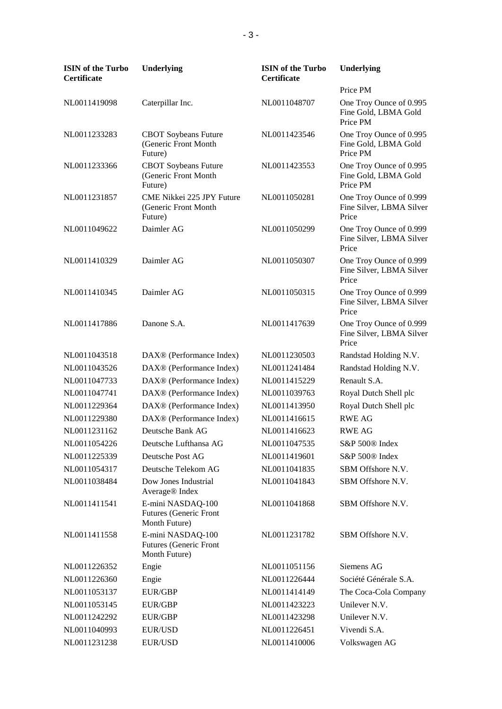| <b>ISIN</b> of the Turbo<br>Certificate | Underlying                                                          | <b>ISIN</b> of the Turbo<br>Certificate | <b>Underlying</b>                                            |
|-----------------------------------------|---------------------------------------------------------------------|-----------------------------------------|--------------------------------------------------------------|
|                                         |                                                                     |                                         | Price PM                                                     |
| NL0011419098                            | Caterpillar Inc.                                                    | NL0011048707                            | One Troy Ounce of 0.995<br>Fine Gold, LBMA Gold<br>Price PM  |
| NL0011233283                            | <b>CBOT</b> Soybeans Future<br>(Generic Front Month<br>Future)      | NL0011423546                            | One Troy Ounce of 0.995<br>Fine Gold, LBMA Gold<br>Price PM  |
| NL0011233366                            | <b>CBOT</b> Soybeans Future<br>(Generic Front Month<br>Future)      | NL0011423553                            | One Troy Ounce of 0.995<br>Fine Gold, LBMA Gold<br>Price PM  |
| NL0011231857                            | CME Nikkei 225 JPY Future<br>(Generic Front Month<br>Future)        | NL0011050281                            | One Troy Ounce of 0.999<br>Fine Silver, LBMA Silver<br>Price |
| NL0011049622                            | Daimler AG                                                          | NL0011050299                            | One Troy Ounce of 0.999<br>Fine Silver, LBMA Silver<br>Price |
| NL0011410329                            | Daimler AG                                                          | NL0011050307                            | One Troy Ounce of 0.999<br>Fine Silver, LBMA Silver<br>Price |
| NL0011410345                            | Daimler AG                                                          | NL0011050315                            | One Troy Ounce of 0.999<br>Fine Silver, LBMA Silver<br>Price |
| NL0011417886                            | Danone S.A.                                                         | NL0011417639                            | One Troy Ounce of 0.999<br>Fine Silver, LBMA Silver<br>Price |
| NL0011043518                            | DAX® (Performance Index)                                            | NL0011230503                            | Randstad Holding N.V.                                        |
| NL0011043526                            | DAX <sup>®</sup> (Performance Index)                                | NL0011241484                            | Randstad Holding N.V.                                        |
| NL0011047733                            | DAX <sup>®</sup> (Performance Index)                                | NL0011415229                            | Renault S.A.                                                 |
| NL0011047741                            | DAX® (Performance Index)                                            | NL0011039763                            | Royal Dutch Shell plc                                        |
| NL0011229364                            | DAX <sup>®</sup> (Performance Index)                                | NL0011413950                            | Royal Dutch Shell plc                                        |
| NL0011229380                            | DAX® (Performance Index)                                            | NL0011416615                            | <b>RWE AG</b>                                                |
| NL0011231162                            | Deutsche Bank AG                                                    | NL0011416623                            | <b>RWE AG</b>                                                |
| NL0011054226                            | Deutsche Lufthansa AG                                               | NL0011047535                            | S&P 500® Index                                               |
| NL0011225339                            | Deutsche Post AG                                                    | NL0011419601                            | S&P 500® Index                                               |
| NL0011054317                            | Deutsche Telekom AG                                                 | NL0011041835                            | SBM Offshore N.V.                                            |
| NL0011038484                            | Dow Jones Industrial<br>Average <sup>®</sup> Index                  | NL0011041843                            | SBM Offshore N.V.                                            |
| NL0011411541                            | E-mini NASDAQ-100<br><b>Futures</b> (Generic Front<br>Month Future) | NL0011041868                            | SBM Offshore N.V.                                            |
| NL0011411558                            | E-mini NASDAQ-100<br><b>Futures (Generic Front</b><br>Month Future) | NL0011231782                            | SBM Offshore N.V.                                            |
| NL0011226352                            | Engie                                                               | NL0011051156                            | Siemens AG                                                   |
| NL0011226360                            | Engie                                                               | NL0011226444                            | Société Générale S.A.                                        |
| NL0011053137                            | EUR/GBP                                                             | NL0011414149                            | The Coca-Cola Company                                        |
| NL0011053145                            | EUR/GBP                                                             | NL0011423223                            | Unilever N.V.                                                |
| NL0011242292                            | <b>EUR/GBP</b>                                                      | NL0011423298                            | Unilever N.V.                                                |
| NL0011040993                            | <b>EUR/USD</b>                                                      | NL0011226451                            | Vivendi S.A.                                                 |
| NL0011231238                            | EUR/USD                                                             | NL0011410006                            | Volkswagen AG                                                |